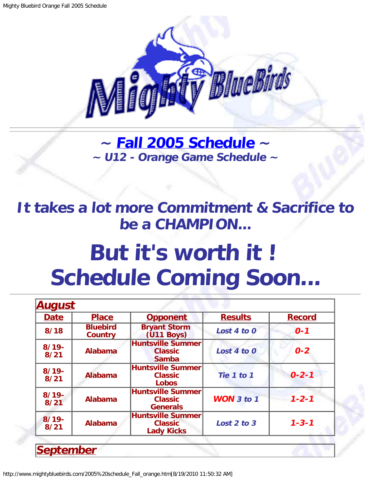

**~ [Fall 2005 Schedule](#page-0-0) ~ ~ U12 - Orange Game Schedule ~**

<span id="page-0-1"></span>**It takes a lot more Commitment & Sacrifice to be a CHAMPION...**

## **But it's worth it ! Schedule Coming Soon...**

| <u>August</u>                                                             |                                   |                                                            |                       |               |  |
|---------------------------------------------------------------------------|-----------------------------------|------------------------------------------------------------|-----------------------|---------------|--|
| <b>Date</b>                                                               | <b>Place</b>                      | <b>Opponent</b>                                            | <b>Results</b>        | <b>Record</b> |  |
| 8/18                                                                      | <b>Bluebird</b><br><b>Country</b> | <b>Bryant Storm</b><br>$(U11$ Boys)                        | Lost 4 to 0           | $0 - 1$       |  |
| $8/19 -$<br>8/21                                                          | <b>Alabama</b>                    | <b>Huntsville Summer</b><br><b>Classic</b><br><b>Samba</b> | Lost 4 to 0           | $0 - 2$       |  |
| $8/19 -$<br>8/21                                                          | <b>Alabama</b>                    | <b>Huntsville Summer</b><br><b>Classic</b><br><b>Lobos</b> | Tie 1 to 1            | $0 - 2 - 1$   |  |
| $8/19 -$<br>8/21                                                          | <b>Alabama</b>                    | Huntsville Summer<br><b>Classic</b><br><b>Generals</b>     | <b>WON</b> $3$ to $1$ | $1 - 2 - 1$   |  |
| $8/19 -$<br><b>Alabama</b><br><b>Classic</b><br>8/21<br><b>Lady Kicks</b> |                                   | <b>Huntsville Summer</b>                                   | Lost 2 to 3           | $1 - 3 - 1$   |  |
|                                                                           |                                   |                                                            |                       |               |  |
| <b>September</b>                                                          |                                   |                                                            |                       |               |  |

<span id="page-0-0"></span>http://www.mightybluebirds.com/2005%20schedule\_Fall\_orange.htm[8/19/2010 11:50:32 AM]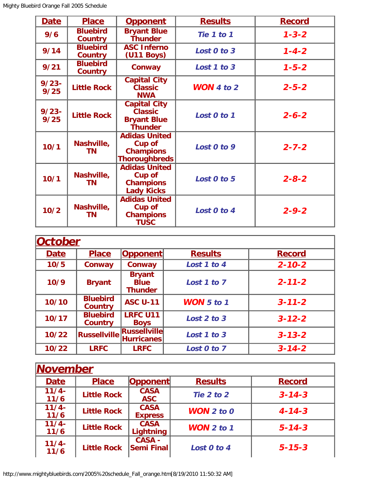| <b>Date</b>      | <b>Place</b>                      | <u>Opponent</u>                                                                   | <b>Results</b>      | <b>Record</b> |
|------------------|-----------------------------------|-----------------------------------------------------------------------------------|---------------------|---------------|
| 9/6              | <b>Bluebird</b><br><b>Country</b> | <b>Bryant Blue</b><br>Thunder                                                     | Tie 1 to 1          | $1 - 3 - 2$   |
| 9/14             | <b>Bluebird</b><br><b>Country</b> | <b>ASC Inferno</b><br>$(U11$ Boys)                                                | Lost 0 to 3         | $1 - 4 - 2$   |
| 9/21             | <b>Bluebird</b><br><b>Country</b> | Conway                                                                            | Lost 1 to 3         | $1 - 5 - 2$   |
| $9/23 -$<br>9/25 | <b>Little Rock</b>                | <b>Capital City</b><br><b>Classic</b><br><b>NWA</b>                               | <b>WON</b> 4 to $2$ | $2 - 5 - 2$   |
| $9/23 -$<br>9/25 | <b>Little Rock</b>                | <b>Capital City</b><br><b>Classic</b><br><b>Bryant Blue</b><br><b>Thunder</b>     | Lost 0 to 1         | $2 - 6 - 2$   |
| 10/1             | Nashville,<br><b>TN</b>           | <b>Adidas United</b><br><b>Cup of</b><br><b>Champions</b><br><b>Thoroughbreds</b> | Lost 0 to 9         | $2 - 7 - 2$   |
| 10/1             | Nashville,<br><b>TN</b>           | <b>Adidas United</b><br><b>Cup of</b><br><b>Champions</b><br><b>Lady Kicks</b>    | Lost 0 to 5         | $2 - 8 - 2$   |
| 10/2             | Nashville,<br>ΤN                  | <b>Adidas United</b><br><b>Cup of</b><br><b>Champions</b><br><b>TUSC</b>          | Lost 0 to 4         | $2 - 9 - 2$   |

| October     |                                   |                                                |                   |               |
|-------------|-----------------------------------|------------------------------------------------|-------------------|---------------|
| <b>Date</b> | <b>Place</b>                      | Opponent                                       | <b>Results</b>    | <b>Record</b> |
| 10/5        | Conway                            | Conway                                         | Lost 1 to 4       | $2 - 10 - 2$  |
| 10/9        | <b>Bryant</b>                     | <b>Bryant</b><br><b>Blue</b><br><b>Thunder</b> | Lost 1 to 7       | $2 - 11 - 2$  |
| 10/10       | <b>Bluebird</b><br><b>Country</b> | <b>ASC U-11</b>                                | <b>WON</b> 5 to 1 | $3 - 11 - 2$  |
| 10/17       | <b>Bluebird</b><br>Country        | <b>LRFC U11</b><br><b>Boys</b>                 | Lost 2 to 3       | $3 - 12 - 2$  |
| 10/22       | <b>Russellville</b>               | <b>Russellville</b><br><b>Hurricanes</b>       | Lost 1 to 3       | $3 - 13 - 2$  |
| 10/22       | <b>LRFC</b>                       | <b>LRFC</b>                                    | Lost 0 to 7       | $3 - 14 - 2$  |

| <b>November</b>  |                    |                               |                       |               |
|------------------|--------------------|-------------------------------|-----------------------|---------------|
| <b>Date</b>      | <b>Place</b>       | <b>Opponent</b>               | <b>Results</b>        | <b>Record</b> |
| $11/4 -$<br>11/6 | <b>Little Rock</b> | <b>CASA</b><br><b>ASC</b>     | Tie 2 to 2            | $3 - 14 - 3$  |
| $11/4 -$<br>11/6 | <b>Little Rock</b> | <b>CASA</b><br><b>Express</b> | <b>WON</b> $2$ to $0$ | $4 - 14 - 3$  |
| $11/4 -$<br>11/6 | <b>Little Rock</b> | <b>CASA</b><br>Lightning      | <b>WON</b> $2$ to $1$ | $5 - 14 - 3$  |
| $11/4-$<br>11/6  | <b>Little Rock</b> | <b>CASA -</b><br>Semi Final   | Lost 0 to 4           | $5 - 15 - 3$  |

http://www.mightybluebirds.com/2005%20schedule\_Fall\_orange.htm[8/19/2010 11:50:32 AM]